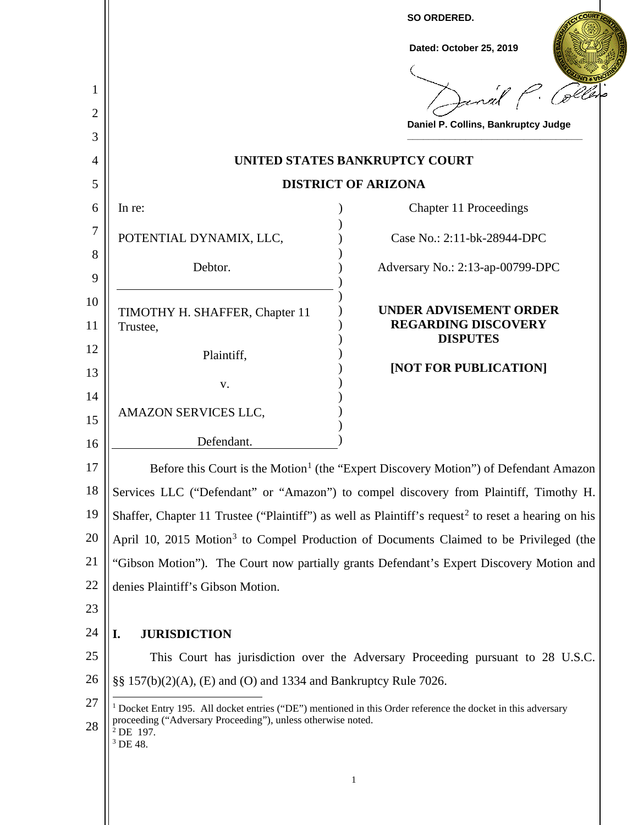|               |                                                                                                                                                                                                                       | SO ORDERED.<br>Dated: October 25, 2019                      |
|---------------|-----------------------------------------------------------------------------------------------------------------------------------------------------------------------------------------------------------------------|-------------------------------------------------------------|
| 1             |                                                                                                                                                                                                                       | Janal P.                                                    |
| 2             |                                                                                                                                                                                                                       | Daniel P. Collins, Bankruptcy Judge                         |
| 3             |                                                                                                                                                                                                                       |                                                             |
| 4             |                                                                                                                                                                                                                       | UNITED STATES BANKRUPTCY COURT                              |
| 5             | <b>DISTRICT OF ARIZONA</b>                                                                                                                                                                                            |                                                             |
| 6             | In re:                                                                                                                                                                                                                | Chapter 11 Proceedings                                      |
| 7             | POTENTIAL DYNAMIX, LLC,                                                                                                                                                                                               | Case No.: 2:11-bk-28944-DPC                                 |
| 8             | Debtor.                                                                                                                                                                                                               | Adversary No.: 2:13-ap-00799-DPC                            |
| 9<br>10<br>11 | TIMOTHY H. SHAFFER, Chapter 11<br>Trustee,                                                                                                                                                                            | <b>UNDER ADVISEMENT ORDER</b><br><b>REGARDING DISCOVERY</b> |
| 12            | Plaintiff,                                                                                                                                                                                                            | <b>DISPUTES</b>                                             |
| 13            |                                                                                                                                                                                                                       | [NOT FOR PUBLICATION]                                       |
| 14            | V.                                                                                                                                                                                                                    |                                                             |
| 15            | AMAZON SERVICES LLC,                                                                                                                                                                                                  |                                                             |
| 16            | Defendant.                                                                                                                                                                                                            |                                                             |
| 17            | Before this Court is the Motion <sup>1</sup> (the "Expert Discovery Motion") of Defendant Amazon                                                                                                                      |                                                             |
| 18            | Services LLC ("Defendant" or "Amazon") to compel discovery from Plaintiff, Timothy H.                                                                                                                                 |                                                             |
| 19            | Shaffer, Chapter 11 Trustee ("Plaintiff") as well as Plaintiff's request <sup>2</sup> to reset a hearing on his                                                                                                       |                                                             |
| 20            | April 10, 2015 Motion <sup>3</sup> to Compel Production of Documents Claimed to be Privileged (the                                                                                                                    |                                                             |
| 21            | "Gibson Motion"). The Court now partially grants Defendant's Expert Discovery Motion and                                                                                                                              |                                                             |
| 22            | denies Plaintiff's Gibson Motion.                                                                                                                                                                                     |                                                             |
| 23            |                                                                                                                                                                                                                       |                                                             |
| 24            | I.<br><b>JURISDICTION</b>                                                                                                                                                                                             |                                                             |
| 25            | This Court has jurisdiction over the Adversary Proceeding pursuant to 28 U.S.C.                                                                                                                                       |                                                             |
| 26            | §§ 157(b)(2)(A), (E) and (O) and 1334 and Bankruptcy Rule 7026.                                                                                                                                                       |                                                             |
| 27<br>28      | <sup>1</sup> Docket Entry 195. All docket entries ("DE") mentioned in this Order reference the docket in this adversary<br>proceeding ("Adversary Proceeding"), unless otherwise noted.<br>$^2$ DE 197.<br>$3$ DE 48. |                                                             |
|               |                                                                                                                                                                                                                       | 1                                                           |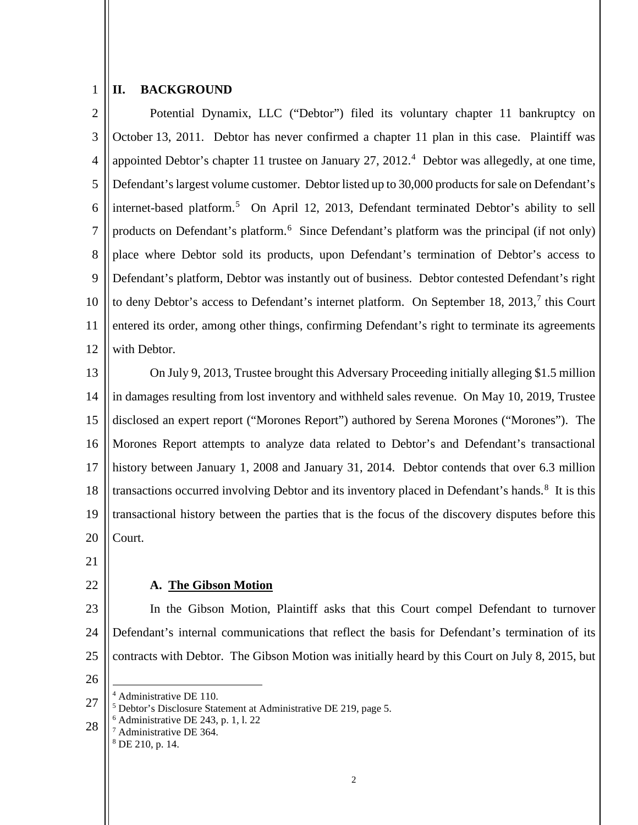#### 1 **II. BACKGROUND**

2 3 4 5 6 7 8 9 10 11 12 Potential Dynamix, LLC ("Debtor") filed its voluntary chapter 11 bankruptcy on October 13, 2011. Debtor has never confirmed a chapter 11 plan in this case. Plaintiff was appointed Debtor's chapter 11 trustee on January 27, 2012.<sup>4</sup> Debtor was allegedly, at one time, Defendant's largest volume customer. Debtor listed up to 30,000 products for sale on Defendant's internet-based platform.<sup>5</sup> On April 12, 2013, Defendant terminated Debtor's ability to sell products on Defendant's platform.<sup>6</sup> Since Defendant's platform was the principal (if not only) place where Debtor sold its products, upon Defendant's termination of Debtor's access to Defendant's platform, Debtor was instantly out of business. Debtor contested Defendant's right to deny Debtor's access to Defendant's internet platform. On September 18, 2013,<sup>7</sup> this Court entered its order, among other things, confirming Defendant's right to terminate its agreements with Debtor.

13 14 15 16 17 18 19 20 On July 9, 2013, Trustee brought this Adversary Proceeding initially alleging \$1.5 million in damages resulting from lost inventory and withheld sales revenue. On May 10, 2019, Trustee disclosed an expert report ("Morones Report") authored by Serena Morones ("Morones"). The Morones Report attempts to analyze data related to Debtor's and Defendant's transactional history between January 1, 2008 and January 31, 2014. Debtor contends that over 6.3 million transactions occurred involving Debtor and its inventory placed in Defendant's hands.<sup>8</sup> It is this transactional history between the parties that is the focus of the discovery disputes before this Court.

21

22

## **A. The Gibson Motion**

23 24 25 In the Gibson Motion, Plaintiff asks that this Court compel Defendant to turnover Defendant's internal communications that reflect the basis for Defendant's termination of its contracts with Debtor. The Gibson Motion was initially heard by this Court on July 8, 2015, but

- 26
	-
- 27 28 <sup>4</sup> Administrative DE 110.<br><sup>5</sup> Debtor's Disclosure Statement at Administrative DE 219, page 5.  $6$  Administrative DE 243, p. 1, 1, 22 <sup>7</sup> Administrative DE 364.

<sup>8</sup> DE 210, p. 14.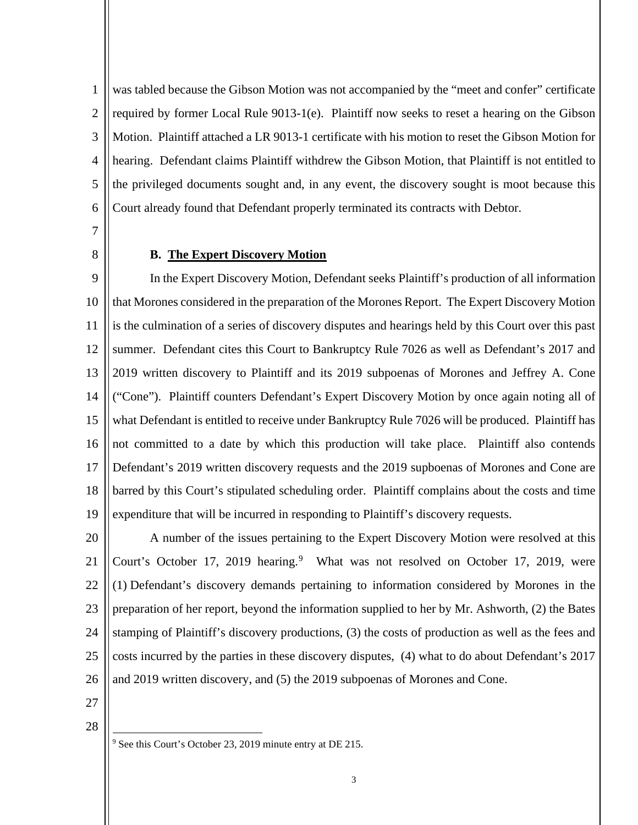1 2 3 4 5 6 was tabled because the Gibson Motion was not accompanied by the "meet and confer" certificate required by former Local Rule 9013-1(e). Plaintiff now seeks to reset a hearing on the Gibson Motion. Plaintiff attached a LR 9013-1 certificate with his motion to reset the Gibson Motion for hearing. Defendant claims Plaintiff withdrew the Gibson Motion, that Plaintiff is not entitled to the privileged documents sought and, in any event, the discovery sought is moot because this Court already found that Defendant properly terminated its contracts with Debtor.

7

8

## **B. The Expert Discovery Motion**

9 10 11 12 13 14 15 16 17 18 19 In the Expert Discovery Motion, Defendant seeks Plaintiff's production of all information that Morones considered in the preparation of the Morones Report. The Expert Discovery Motion is the culmination of a series of discovery disputes and hearings held by this Court over this past summer. Defendant cites this Court to Bankruptcy Rule 7026 as well as Defendant's 2017 and 2019 written discovery to Plaintiff and its 2019 subpoenas of Morones and Jeffrey A. Cone ("Cone"). Plaintiff counters Defendant's Expert Discovery Motion by once again noting all of what Defendant is entitled to receive under Bankruptcy Rule 7026 will be produced. Plaintiff has not committed to a date by which this production will take place. Plaintiff also contends Defendant's 2019 written discovery requests and the 2019 supboenas of Morones and Cone are barred by this Court's stipulated scheduling order. Plaintiff complains about the costs and time expenditure that will be incurred in responding to Plaintiff's discovery requests.

20 21 22 23 24 25 26 A number of the issues pertaining to the Expert Discovery Motion were resolved at this Court's October 17, 2019 hearing.<sup>9</sup> What was not resolved on October 17, 2019, were (1) Defendant's discovery demands pertaining to information considered by Morones in the preparation of her report, beyond the information supplied to her by Mr. Ashworth, (2) the Bates stamping of Plaintiff's discovery productions, (3) the costs of production as well as the fees and costs incurred by the parties in these discovery disputes, (4) what to do about Defendant's 2017 and 2019 written discovery, and (5) the 2019 subpoenas of Morones and Cone.

27

28

<sup>9</sup> See this Court's October 23, 2019 minute entry at DE 215.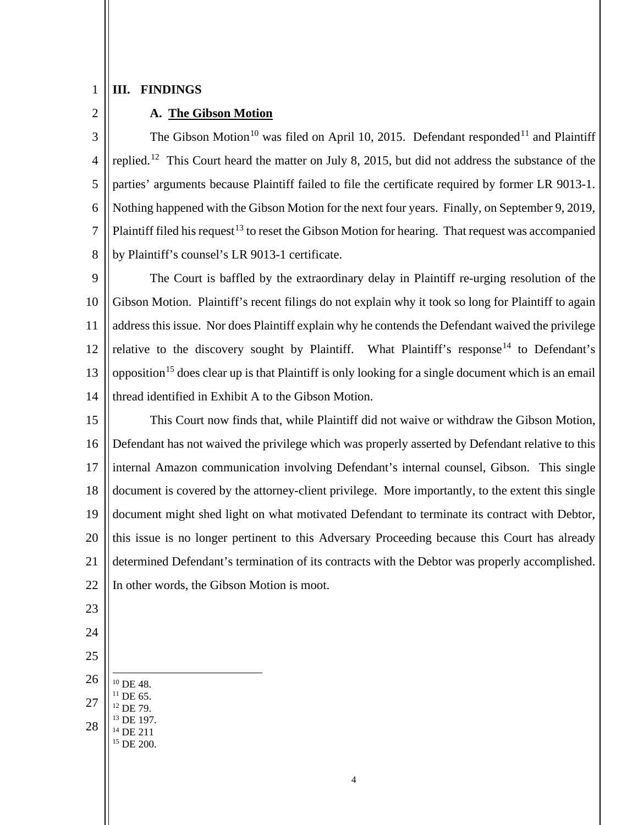#### 1 **III. FINDINGS**

# 2

## **A. The Gibson Motion**

3 4 5 6 7 8 The Gibson Motion<sup>10</sup> was filed on April 10, 2015. Defendant responded<sup>11</sup> and Plaintiff replied.12 This Court heard the matter on July 8, 2015, but did not address the substance of the parties' arguments because Plaintiff failed to file the certificate required by former LR 9013-1. Nothing happened with the Gibson Motion for the next four years. Finally, on September 9, 2019, Plaintiff filed his request<sup>13</sup> to reset the Gibson Motion for hearing. That request was accompanied by Plaintiff's counsel's LR 9013-1 certificate.

9 10 11 12 13 14 The Court is baffled by the extraordinary delay in Plaintiff re-urging resolution of the Gibson Motion. Plaintiff's recent filings do not explain why it took so long for Plaintiff to again address this issue. Nor does Plaintiff explain why he contends the Defendant waived the privilege relative to the discovery sought by Plaintiff. What Plaintiff's response<sup>14</sup> to Defendant's opposition<sup>15</sup> does clear up is that Plaintiff is only looking for a single document which is an email thread identified in Exhibit A to the Gibson Motion.

15 16 17 18 19 20 21 22 This Court now finds that, while Plaintiff did not waive or withdraw the Gibson Motion, Defendant has not waived the privilege which was properly asserted by Defendant relative to this internal Amazon communication involving Defendant's internal counsel, Gibson. This single document is covered by the attorney-client privilege. More importantly, to the extent this single document might shed light on what motivated Defendant to terminate its contract with Debtor, this issue is no longer pertinent to this Adversary Proceeding because this Court has already determined Defendant's termination of its contracts with the Debtor was properly accomplished. In other words, the Gibson Motion is moot.

- 23
- 24
- 25
- 26
- 27 28 <sup>10</sup> DE 48.<br><sup>11</sup> DE 65.<br><sup>12</sup> DE 79.<br><sup>13</sup> DE 197.  $^{14}$  DE 211<br> $^{15}$  DE 200.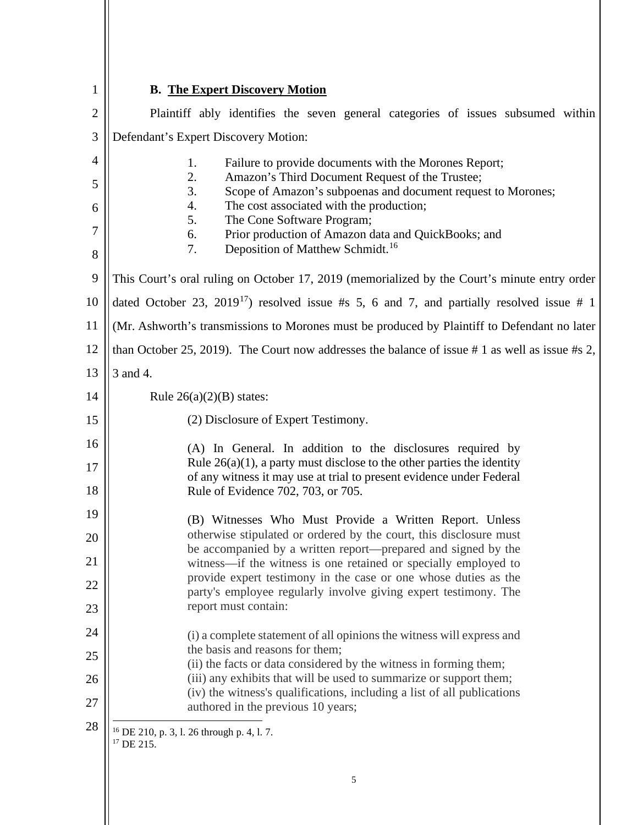| $\mathbf{1}$          | <b>B.</b> The Expert Discovery Motion                                                                                                                                                                                                                                                                                                                                                               |  |
|-----------------------|-----------------------------------------------------------------------------------------------------------------------------------------------------------------------------------------------------------------------------------------------------------------------------------------------------------------------------------------------------------------------------------------------------|--|
| $\mathbf{2}$          | Plaintiff ably identifies the seven general categories of issues subsumed within                                                                                                                                                                                                                                                                                                                    |  |
| 3                     | Defendant's Expert Discovery Motion:                                                                                                                                                                                                                                                                                                                                                                |  |
| 4<br>5<br>6<br>7<br>8 | Failure to provide documents with the Morones Report;<br>1.<br>2.<br>Amazon's Third Document Request of the Trustee;<br>3.<br>Scope of Amazon's subpoenas and document request to Morones;<br>4.<br>The cost associated with the production;<br>5.<br>The Cone Software Program;<br>6.<br>Prior production of Amazon data and QuickBooks; and<br>Deposition of Matthew Schmidt. <sup>16</sup><br>7. |  |
| 9                     | This Court's oral ruling on October 17, 2019 (memorialized by the Court's minute entry order                                                                                                                                                                                                                                                                                                        |  |
| 10                    | dated October 23, 2019 <sup>17</sup> ) resolved issue #s 5, 6 and 7, and partially resolved issue # 1                                                                                                                                                                                                                                                                                               |  |
| 11                    | (Mr. Ashworth's transmissions to Morones must be produced by Plaintiff to Defendant no later                                                                                                                                                                                                                                                                                                        |  |
| 12                    | than October 25, 2019). The Court now addresses the balance of issue #1 as well as issue #s 2,                                                                                                                                                                                                                                                                                                      |  |
| 13                    | 3 and 4.                                                                                                                                                                                                                                                                                                                                                                                            |  |
| 14                    | Rule $26(a)(2)(B)$ states:                                                                                                                                                                                                                                                                                                                                                                          |  |
| 15                    | (2) Disclosure of Expert Testimony.                                                                                                                                                                                                                                                                                                                                                                 |  |
| 16<br>17<br>18        | (A) In General. In addition to the disclosures required by<br>Rule $26(a)(1)$ , a party must disclose to the other parties the identity<br>of any witness it may use at trial to present evidence under Federal<br>Rule of Evidence 702, 703, or 705.                                                                                                                                               |  |
| 19                    | (B) Witnesses Who Must Provide a Written Report. Unless<br>otherwise stipulated or ordered by the court, this disclosure must                                                                                                                                                                                                                                                                       |  |
| 20<br>21              | be accompanied by a written report—prepared and signed by the                                                                                                                                                                                                                                                                                                                                       |  |
| 22                    | witness—if the witness is one retained or specially employed to<br>provide expert testimony in the case or one whose duties as the                                                                                                                                                                                                                                                                  |  |
| 23                    | party's employee regularly involve giving expert testimony. The<br>report must contain:                                                                                                                                                                                                                                                                                                             |  |
| 24                    | (i) a complete statement of all opinions the witness will express and                                                                                                                                                                                                                                                                                                                               |  |
| 25                    | the basis and reasons for them;                                                                                                                                                                                                                                                                                                                                                                     |  |
| 26                    | (ii) the facts or data considered by the witness in forming them;<br>(iii) any exhibits that will be used to summarize or support them;                                                                                                                                                                                                                                                             |  |
| 27                    | (iv) the witness's qualifications, including a list of all publications<br>authored in the previous 10 years;                                                                                                                                                                                                                                                                                       |  |
| 28                    | $16$ DE 210, p. 3, l. 26 through p. 4, l. 7.<br><sup>17</sup> DE 215.                                                                                                                                                                                                                                                                                                                               |  |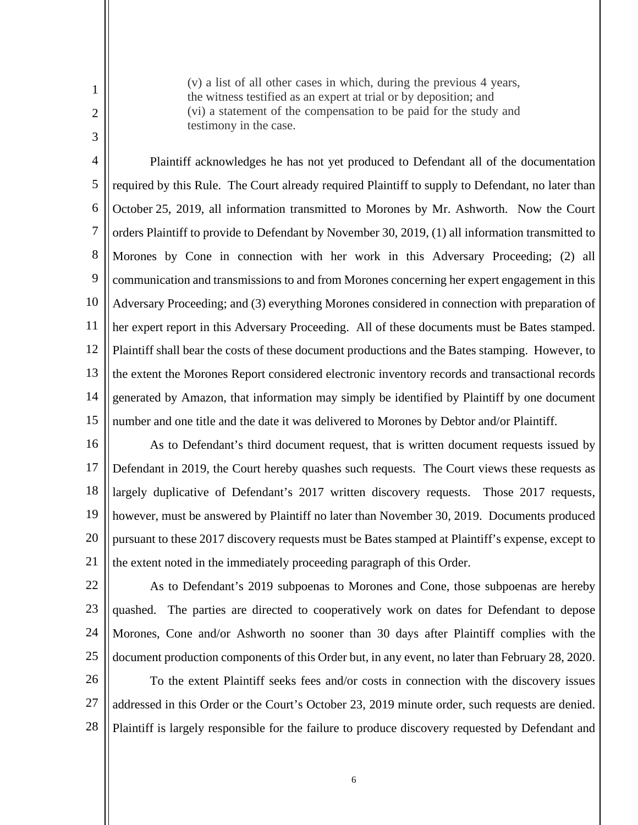(v) a list of all other cases in which, during the previous 4 years, the witness testified as an expert at trial or by deposition; and (vi) a statement of the compensation to be paid for the study and testimony in the case.

4 5 6 7 8 9 10 11 12 13 14 15 Plaintiff acknowledges he has not yet produced to Defendant all of the documentation required by this Rule. The Court already required Plaintiff to supply to Defendant, no later than October 25, 2019, all information transmitted to Morones by Mr. Ashworth. Now the Court orders Plaintiff to provide to Defendant by November 30, 2019, (1) all information transmitted to Morones by Cone in connection with her work in this Adversary Proceeding; (2) all communication and transmissions to and from Morones concerning her expert engagement in this Adversary Proceeding; and (3) everything Morones considered in connection with preparation of her expert report in this Adversary Proceeding. All of these documents must be Bates stamped. Plaintiff shall bear the costs of these document productions and the Bates stamping. However, to the extent the Morones Report considered electronic inventory records and transactional records generated by Amazon, that information may simply be identified by Plaintiff by one document number and one title and the date it was delivered to Morones by Debtor and/or Plaintiff.

16 17 18 19 20 21 As to Defendant's third document request, that is written document requests issued by Defendant in 2019, the Court hereby quashes such requests. The Court views these requests as largely duplicative of Defendant's 2017 written discovery requests. Those 2017 requests, however, must be answered by Plaintiff no later than November 30, 2019. Documents produced pursuant to these 2017 discovery requests must be Bates stamped at Plaintiff's expense, except to the extent noted in the immediately proceeding paragraph of this Order.

22

1

2

3

23 24

25

As to Defendant's 2019 subpoenas to Morones and Cone, those subpoenas are hereby quashed. The parties are directed to cooperatively work on dates for Defendant to depose Morones, Cone and/or Ashworth no sooner than 30 days after Plaintiff complies with the document production components of this Order but, in any event, no later than February 28, 2020.

26 27 28 To the extent Plaintiff seeks fees and/or costs in connection with the discovery issues addressed in this Order or the Court's October 23, 2019 minute order, such requests are denied. Plaintiff is largely responsible for the failure to produce discovery requested by Defendant and

6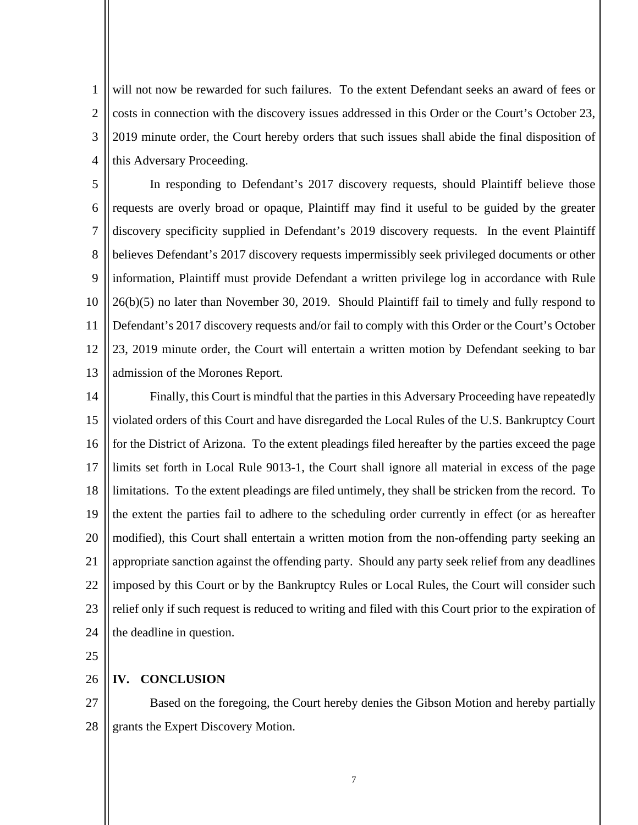1 2 3 4 will not now be rewarded for such failures. To the extent Defendant seeks an award of fees or costs in connection with the discovery issues addressed in this Order or the Court's October 23, 2019 minute order, the Court hereby orders that such issues shall abide the final disposition of this Adversary Proceeding.

5 6 7 8 9 10 11 12 13 In responding to Defendant's 2017 discovery requests, should Plaintiff believe those requests are overly broad or opaque, Plaintiff may find it useful to be guided by the greater discovery specificity supplied in Defendant's 2019 discovery requests. In the event Plaintiff believes Defendant's 2017 discovery requests impermissibly seek privileged documents or other information, Plaintiff must provide Defendant a written privilege log in accordance with Rule 26(b)(5) no later than November 30, 2019. Should Plaintiff fail to timely and fully respond to Defendant's 2017 discovery requests and/or fail to comply with this Order or the Court's October 23, 2019 minute order, the Court will entertain a written motion by Defendant seeking to bar admission of the Morones Report.

14 15 16 17 18 19 20 21 22 23 24 Finally, this Court is mindful that the parties in this Adversary Proceeding have repeatedly violated orders of this Court and have disregarded the Local Rules of the U.S. Bankruptcy Court for the District of Arizona. To the extent pleadings filed hereafter by the parties exceed the page limits set forth in Local Rule 9013-1, the Court shall ignore all material in excess of the page limitations. To the extent pleadings are filed untimely, they shall be stricken from the record. To the extent the parties fail to adhere to the scheduling order currently in effect (or as hereafter modified), this Court shall entertain a written motion from the non-offending party seeking an appropriate sanction against the offending party. Should any party seek relief from any deadlines imposed by this Court or by the Bankruptcy Rules or Local Rules, the Court will consider such relief only if such request is reduced to writing and filed with this Court prior to the expiration of the deadline in question.

25

26 **IV. CONCLUSION**

27 28 Based on the foregoing, the Court hereby denies the Gibson Motion and hereby partially grants the Expert Discovery Motion.

7